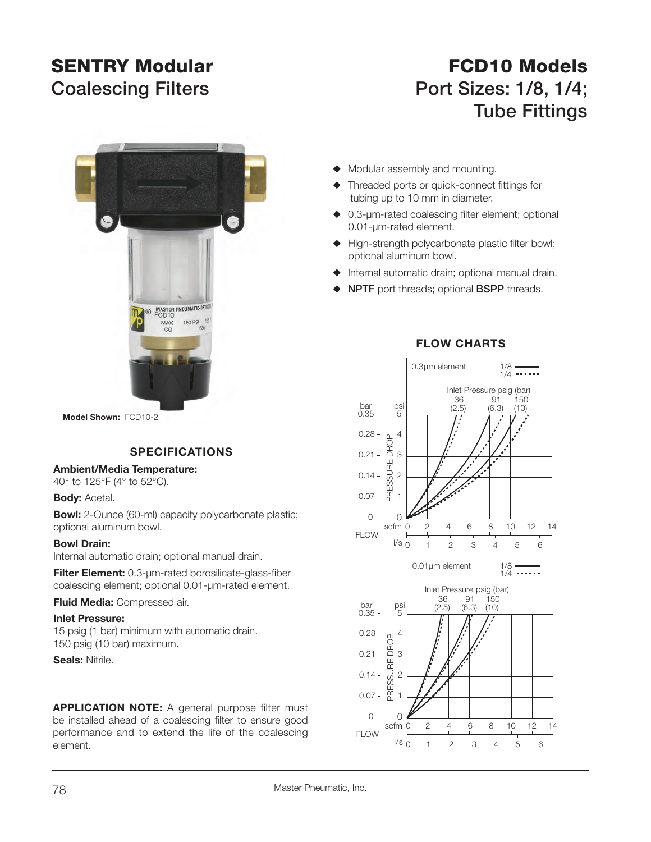# **SENTRY Modular**

# **FCD10 ModelsCoalescing Filters Port Sizes: 1/8, 1/4; Tube Fittings**



**Model Shown:** FCD10-2

## **SPECIFICATIONS**

#### **Ambient/Media Temperature:**

40° to 125°F (4° to 52°C).

**Body: Acetal.** 

**Bowl:** 2-Ounce (60-ml) capacity polycarbonate plastic; optional aluminum bowl.

#### **Bowl Drain:**

Internal automatic drain; optional manual drain.

**Filter Element:** 0.3-µm-rated borosilicate-glass-fiber coalescing element; optional 0.01-µm-rated element.

**Fluid Media:** Compressed air.

#### **Inlet Pressure:**

15 psig (1 bar) minimum with automatic drain. 150 psig (10 bar) maximum.

**Seals:** Nitrile.

**APPLICATION NOTE:** A general purpose filter must be installed ahead of a coalescing filter to ensure good performance and to extend the life of the coalescing element.

#### $\blacklozenge$  Modular assembly and mounting.

- $\blacklozenge$  Threaded ports or quick-connect fittings for tubing up to 10 mm in diameter.
- $\triangle$  0.3-µm-rated coalescing filter element; optional 0.01-µm-rated element.
- $\blacklozenge$  High-strength polycarbonate plastic filter bowl; optional aluminum bowl.
- $\blacklozenge$  Internal automatic drain; optional manual drain.
- **NPTF** port threads; optional **BSPP** threads.



### **FLOW CHARTS**